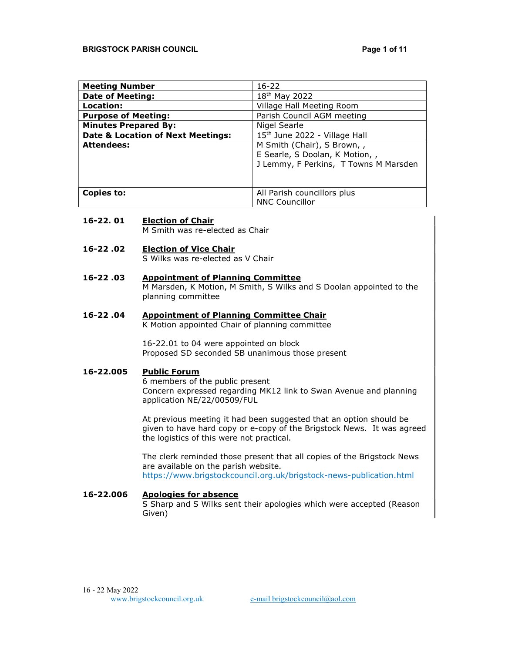| <b>Meeting Number</b>                        | $16 - 22$                             |
|----------------------------------------------|---------------------------------------|
| <b>Date of Meeting:</b>                      | 18 <sup>th</sup> May 2022             |
| Location:                                    | Village Hall Meeting Room             |
| <b>Purpose of Meeting:</b>                   | Parish Council AGM meeting            |
| <b>Minutes Prepared By:</b>                  | Nigel Searle                          |
| <b>Date &amp; Location of Next Meetings:</b> | 15th June 2022 - Village Hall         |
| <b>Attendees:</b>                            | M Smith (Chair), S Brown, ,           |
|                                              | E Searle, S Doolan, K Motion, ,       |
|                                              | J Lemmy, F Perkins, T Towns M Marsden |
|                                              |                                       |
|                                              |                                       |
| Copies to:<br>All Parish councillors plus    |                                       |
|                                              | <b>NNC Councillor</b>                 |

### 16-22. 01 Election of Chair

M Smith was re-elected as Chair

## 16-22 .02 Election of Vice Chair

S Wilks was re-elected as V Chair

## 16-22 .03 Appointment of Planning Committee

M Marsden, K Motion, M Smith, S Wilks and S Doolan appointed to the planning committee

# 16-22 .04 Appointment of Planning Committee Chair

K Motion appointed Chair of planning committee

16-22.01 to 04 were appointed on block Proposed SD seconded SB unanimous those present

## 16-22.005 Public Forum

6 members of the public present Concern expressed regarding MK12 link to Swan Avenue and planning application NE/22/00509/FUL

At previous meeting it had been suggested that an option should be given to have hard copy or e-copy of the Brigstock News. It was agreed the logistics of this were not practical.

The clerk reminded those present that all copies of the Brigstock News are available on the parish website.

https://www.brigstockcouncil.org.uk/brigstock-news-publication.html

## 16-22.006 Apologies for absence

S Sharp and S Wilks sent their apologies which were accepted (Reason Given)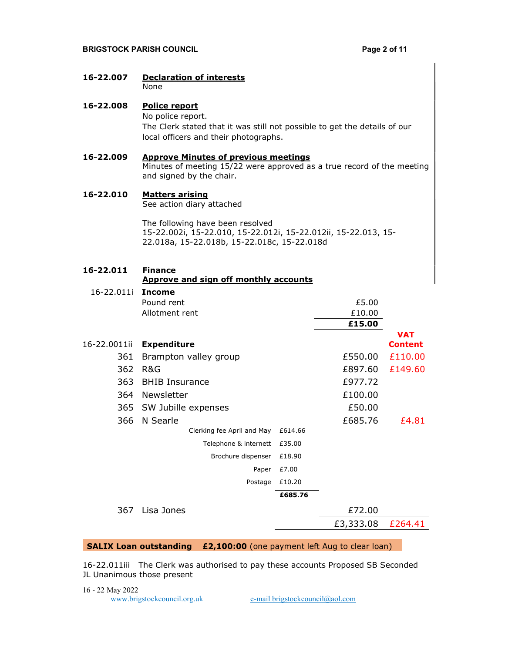### **BRIGSTOCK PARISH COUNCIL EXECUTE 2 OF 11**

16-22.007 Declaration of interests None 16-22.008 Police report No police report. The Clerk stated that it was still not possible to get the details of our local officers and their photographs. 16-22.009 Approve Minutes of previous meetings Minutes of meeting 15/22 were approved as a true record of the meeting and signed by the chair. 16-22.010 Matters arising See action diary attached The following have been resolved 15-22.002i, 15-22.010, 15-22.012i, 15-22.012ii, 15-22.013, 15- 22.018a, 15-22.018b, 15-22.018c, 15-22.018d 16-22.011 Finance Approve and sign off monthly accounts 16-22.011i Income Pound rent and the contract of the contract of the contract of the contract of the contract of the contract of the contract of the contract of the contract of the contract of the contract of the contract of the contract of Allotment rent  $£10.00$  £15.00 16-22.0011ii Expenditure VAT Content 361 Brampton valley group  $£550.00$   $£110.00$ 362 R&G £897.60 £149.60 363 BHIB Insurance **E977.72** 364 Newsletter **E100.00** 

365 SW Jubille expenses £50.00 366 N Searle **E**685.76 £4.81 Clerking fee April and May £614.66 Telephone & internett £35.00 Brochure dispenser £18.90 Paper £7.00 Postage £10.20 £685.76 367 Lisa Jones £72.00 £3,333.08 £264.41

### SALIX Loan outstanding £2,100:00 (one payment left Aug to clear loan)

16-22.011iii The Clerk was authorised to pay these accounts Proposed SB Seconded JL Unanimous those present

16 - 22 May 2022 www.brigstockcouncil.org.uk e-mail brigstockcouncil@aol.com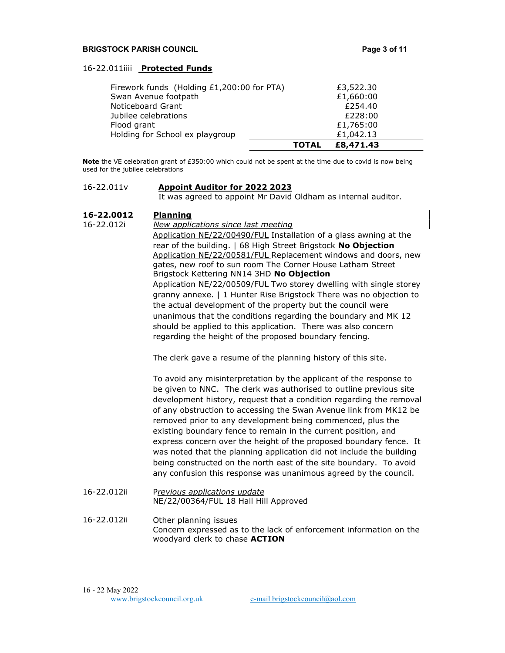### **BRIGSTOCK PARISH COUNCIL EXECUTE 2 OF 11 Page 3 of 11**

### 16-22.011iiii Protected Funds

|                                                | <b>TOTAL</b> | £8,471.43              |  |
|------------------------------------------------|--------------|------------------------|--|
| Flood grant<br>Holding for School ex playgroup |              | £1,765:00<br>£1,042.13 |  |
| Jubilee celebrations                           |              | £228:00                |  |
| Noticeboard Grant                              |              | £254.40                |  |
| Swan Avenue footpath                           |              | £1,660:00              |  |
| Firework funds (Holding £1,200:00 for PTA)     |              | £3,522.30              |  |
|                                                |              |                        |  |

Note the VE celebration grant of £350:00 which could not be spent at the time due to covid is now being used for the jubilee celebrations

### 16-22.011v Appoint Auditor for 2022 2023

It was agreed to appoint Mr David Oldham as internal auditor.

### 16-22.0012 Planning

16-22.012i New applications since last meeting Application NE/22/00490/FUL Installation of a glass awning at the rear of the building. | 68 High Street Brigstock No Objection Application NE/22/00581/FUL Replacement windows and doors, new gates, new roof to sun room The Corner House Latham Street Brigstock Kettering NN14 3HD No Objection Application NE/22/00509/FUL Two storey dwelling with single storey granny annexe. | 1 Hunter Rise Brigstock There was no objection to the actual development of the property but the council were unanimous that the conditions regarding the boundary and MK 12 should be applied to this application. There was also concern regarding the height of the proposed boundary fencing.

The clerk gave a resume of the planning history of this site.

To avoid any misinterpretation by the applicant of the response to be given to NNC. The clerk was authorised to outline previous site development history, request that a condition regarding the removal of any obstruction to accessing the Swan Avenue link from MK12 be removed prior to any development being commenced, plus the existing boundary fence to remain in the current position, and express concern over the height of the proposed boundary fence. It was noted that the planning application did not include the building being constructed on the north east of the site boundary. To avoid any confusion this response was unanimous agreed by the council.

- 16-22.012ii Previous applications update NE/22/00364/FUL 18 Hall Hill Approved
- 16-22.012ii Other planning issues Concern expressed as to the lack of enforcement information on the woodyard clerk to chase ACTION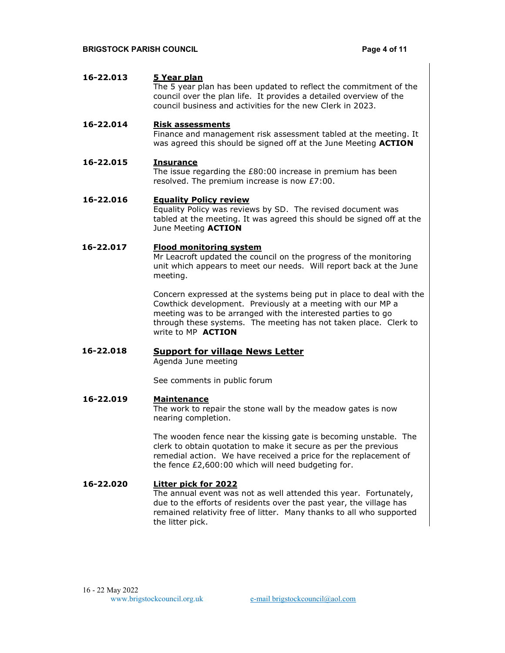| 16-22.013 | 5 Year plan<br>The 5 year plan has been updated to reflect the commitment of the<br>council over the plan life. It provides a detailed overview of the<br>council business and activities for the new Clerk in 2023. |
|-----------|----------------------------------------------------------------------------------------------------------------------------------------------------------------------------------------------------------------------|
| 16-22.014 | <b>Risk assessments</b><br>Finance and management risk assessment tabled at the meeting. It<br>was agreed this should be signed off at the June Meeting <b>ACTION</b>                                                |
| 16-22.015 | Insurance<br>The issue regarding the $E80:00$ increase in premium has been<br>resolved. The premium increase is now £7:00.                                                                                           |
| 16-22.016 | <b>Equality Policy review</b><br>Equality Policy was reviews by SD. The revised document was<br>tabled at the meeting. It was agreed this should be signed off at the<br>June Meeting <b>ACTION</b>                  |
| 16-22.017 | <b>Flood monitoring system</b><br>Mr Leacroft updated the council on the progress of the monitoring<br>unit which appears to meet our needs. Will report back at the June                                            |

Concern expressed at the systems being put in place to deal with the Cowthick development. Previously at a meeting with our MP a meeting was to be arranged with the interested parties to go through these systems. The meeting has not taken place. Clerk to write to MP **ACTION** 

16-22.018 Support for village News Letter Agenda June meeting

meeting.

See comments in public forum

### 16-22.019 Maintenance

The work to repair the stone wall by the meadow gates is now nearing completion.

The wooden fence near the kissing gate is becoming unstable. The clerk to obtain quotation to make it secure as per the previous remedial action. We have received a price for the replacement of the fence £2,600:00 which will need budgeting for.

## 16-22.020 Litter pick for 2022

The annual event was not as well attended this year. Fortunately, due to the efforts of residents over the past year, the village has remained relativity free of litter. Many thanks to all who supported the litter pick.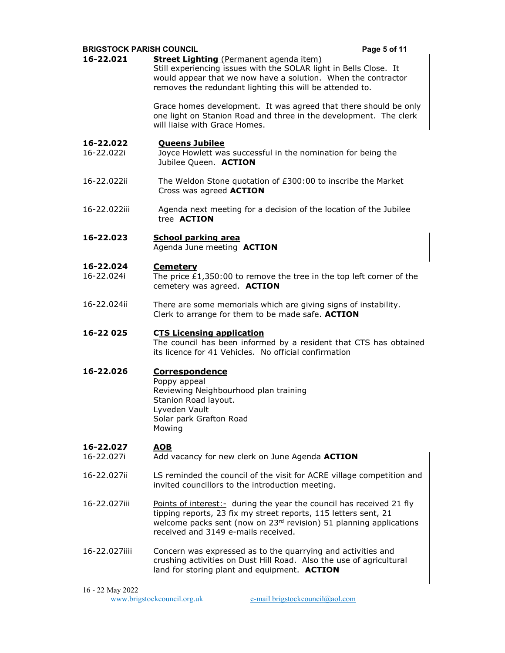| <b>BRIGSTOCK PARISH COUNCIL</b> |                                                                                                                                                                                                                                                       | Page 5 of 11 |
|---------------------------------|-------------------------------------------------------------------------------------------------------------------------------------------------------------------------------------------------------------------------------------------------------|--------------|
| 16-22.021                       | <b>Street Lighting</b> (Permanent agenda item)<br>Still experiencing issues with the SOLAR light in Bells Close. It<br>would appear that we now have a solution. When the contractor<br>removes the redundant lighting this will be attended to.      |              |
|                                 | Grace homes development. It was agreed that there should be only<br>one light on Stanion Road and three in the development. The clerk<br>will liaise with Grace Homes.                                                                                |              |
| 16-22.022<br>16-22.022i         | <b>Queens Jubilee</b><br>Joyce Howlett was successful in the nomination for being the<br>Jubilee Queen. ACTION                                                                                                                                        |              |
| 16-22.022ii                     | The Weldon Stone quotation of £300:00 to inscribe the Market<br>Cross was agreed <b>ACTION</b>                                                                                                                                                        |              |
| 16-22.022iii                    | Agenda next meeting for a decision of the location of the Jubilee<br>tree <b>ACTION</b>                                                                                                                                                               |              |
| 16-22.023                       | <b>School parking area</b><br>Agenda June meeting ACTION                                                                                                                                                                                              |              |
| 16-22.024                       | <b>Cemetery</b>                                                                                                                                                                                                                                       |              |
| 16-22.024i                      | The price $£1,350:00$ to remove the tree in the top left corner of the<br>cemetery was agreed. ACTION                                                                                                                                                 |              |
| 16-22.024ii                     | There are some memorials which are giving signs of instability.<br>Clerk to arrange for them to be made safe. ACTION                                                                                                                                  |              |
| 16-22 025                       | <b>CTS Licensing application</b><br>The council has been informed by a resident that CTS has obtained<br>its licence for 41 Vehicles. No official confirmation                                                                                        |              |
| 16-22.026                       | <b>Correspondence</b><br>Poppy appeal<br>Reviewing Neighbourhood plan training<br>Stanion Road layout.<br>Lyveden Vault<br>Solar park Grafton Road<br>Mowing                                                                                          |              |
| 16-22.027<br>16-22.027i         | <b>AOB</b><br>Add vacancy for new clerk on June Agenda ACTION                                                                                                                                                                                         |              |
| 16-22.027ii                     | LS reminded the council of the visit for ACRE village competition and<br>invited councillors to the introduction meeting.                                                                                                                             |              |
| 16-22.027iii                    | Points of interest: - during the year the council has received 21 fly<br>tipping reports, 23 fix my street reports, 115 letters sent, 21<br>welcome packs sent (now on 23rd revision) 51 planning applications<br>received and 3149 e-mails received. |              |
| 16-22.027iiii                   | Concern was expressed as to the quarrying and activities and<br>crushing activities on Dust Hill Road. Also the use of agricultural<br>land for storing plant and equipment. ACTION                                                                   |              |

16 - 22 May 2022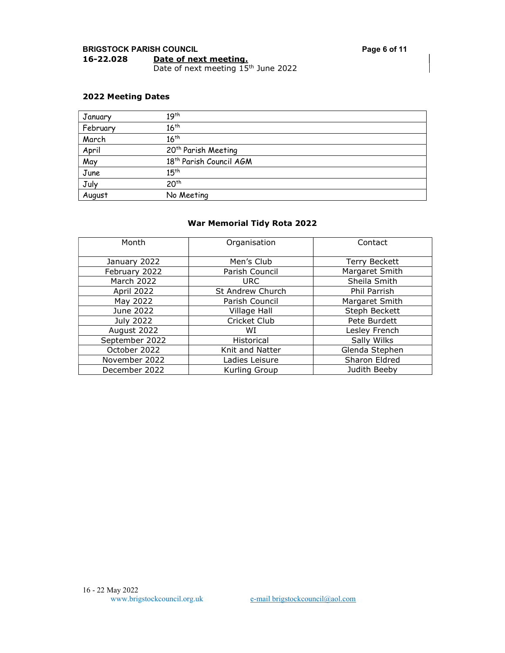## 2022 Meeting Dates

| January  | 19 <sup>th</sup>                    |
|----------|-------------------------------------|
| February | $16^{th}$                           |
| March    | 16 <sup>th</sup>                    |
| April    | 20 <sup>th</sup> Parish Meeting     |
| May      | 18 <sup>th</sup> Parish Council AGM |
| June     | $15^{th}$                           |
| July     | 20 <sup>th</sup>                    |
| August   | No Meeting                          |

## War Memorial Tidy Rota 2022

| Month             | Organisation     | Contact              |
|-------------------|------------------|----------------------|
| January 2022      | Men's Club       | <b>Terry Beckett</b> |
| February 2022     | Parish Council   | Margaret Smith       |
| <b>March 2022</b> | URC.             | Sheila Smith         |
| April 2022        | St Andrew Church | Phil Parrish         |
| May 2022          | Parish Council   | Margaret Smith       |
| June 2022         | Village Hall     | Steph Beckett        |
| July 2022         | Cricket Club     | Pete Burdett         |
| August 2022       | WI               | Lesley French        |
| September 2022    | Historical       | Sally Wilks          |
| October 2022      | Knit and Natter  | Glenda Stephen       |
| November 2022     | Ladies Leisure   | Sharon Eldred        |
| December 2022     | Kurling Group    | Judith Beeby         |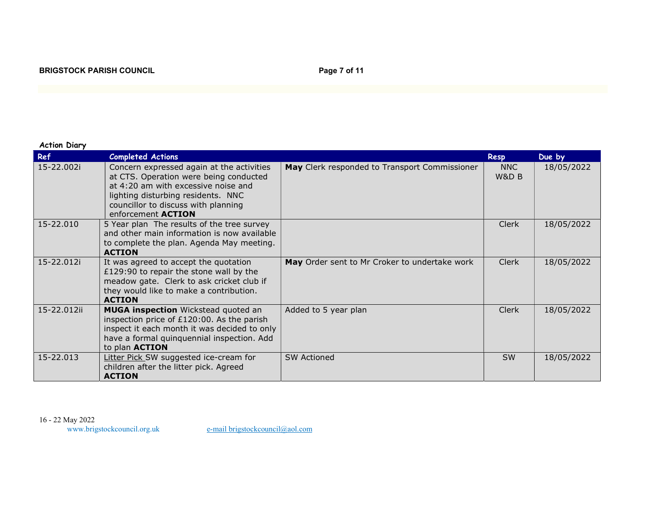| <b>Action Diary</b> |
|---------------------|
|                     |

| Ref         | <b>Completed Actions</b>                                                                                                                                                                                                             |                                               | <b>Resp</b>  | Due by     |
|-------------|--------------------------------------------------------------------------------------------------------------------------------------------------------------------------------------------------------------------------------------|-----------------------------------------------|--------------|------------|
| 15-22.002i  | Concern expressed again at the activities<br>at CTS. Operation were being conducted<br>at 4:20 am with excessive noise and<br>lighting disturbing residents. NNC<br>councillor to discuss with planning<br>enforcement <b>ACTION</b> | May Clerk responded to Transport Commissioner | NNC<br>W&D B | 18/05/2022 |
| 15-22.010   | 5 Year plan The results of the tree survey<br>and other main information is now available<br>to complete the plan. Agenda May meeting.<br><b>ACTION</b>                                                                              |                                               | <b>Clerk</b> | 18/05/2022 |
| 15-22.012i  | It was agreed to accept the quotation<br>£129:90 to repair the stone wall by the<br>meadow gate. Clerk to ask cricket club if<br>they would like to make a contribution.<br><b>ACTION</b>                                            | May Order sent to Mr Croker to undertake work | <b>Clerk</b> | 18/05/2022 |
| 15-22.012ii | <b>MUGA inspection</b> Wickstead quoted an<br>inspection price of £120:00. As the parish<br>inspect it each month it was decided to only<br>have a formal quinquennial inspection. Add<br>to plan <b>ACTION</b>                      | Added to 5 year plan                          | <b>Clerk</b> | 18/05/2022 |
| 15-22.013   | Litter Pick SW suggested ice-cream for<br>children after the litter pick. Agreed<br><b>ACTION</b>                                                                                                                                    | <b>SW Actioned</b>                            | <b>SW</b>    | 18/05/2022 |

16 - 22 May 2022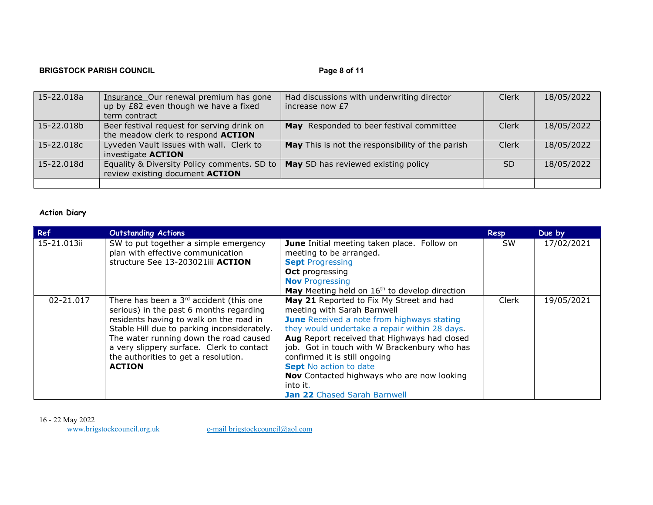# BRIGSTOCK PARISH COUNCIL **Example 2** of 11

| 15-22.018a | Insurance Our renewal premium has gone<br>up by £82 even though we have a fixed<br>term contract | Had discussions with underwriting director<br>increase now £7 | Clerk     | 18/05/2022 |
|------------|--------------------------------------------------------------------------------------------------|---------------------------------------------------------------|-----------|------------|
| 15-22.018b | Beer festival request for serving drink on<br>the meadow clerk to respond ACTION                 | May Responded to beer festival committee                      | Clerk     | 18/05/2022 |
| 15-22.018c | Lyveden Vault issues with wall. Clerk to<br>investigate <b>ACTION</b>                            | May This is not the responsibility of the parish              | Clerk     | 18/05/2022 |
| 15-22.018d | Equality & Diversity Policy comments. SD to<br>review existing document ACTION                   | May SD has reviewed existing policy                           | <b>SD</b> | 18/05/2022 |
|            |                                                                                                  |                                                               |           |            |

# Action Diary

| Ref         | <b>Outstanding Actions</b>                                                                                                                                                                                                                                                                                                               |                                                                                                                                                                                                                                                                                                                                                                                                                                                  | Resp      | Due by     |
|-------------|------------------------------------------------------------------------------------------------------------------------------------------------------------------------------------------------------------------------------------------------------------------------------------------------------------------------------------------|--------------------------------------------------------------------------------------------------------------------------------------------------------------------------------------------------------------------------------------------------------------------------------------------------------------------------------------------------------------------------------------------------------------------------------------------------|-----------|------------|
| 15-21.013ii | SW to put together a simple emergency<br>plan with effective communication<br>structure See 13-203021iii ACTION                                                                                                                                                                                                                          | June Initial meeting taken place. Follow on<br>meeting to be arranged.<br><b>Sept Progressing</b><br><b>Oct</b> progressing<br><b>Nov</b> Progressing<br>May Meeting held on 16 <sup>th</sup> to develop direction                                                                                                                                                                                                                               | <b>SW</b> | 17/02/2021 |
| 02-21.017   | There has been a 3 <sup>rd</sup> accident (this one<br>serious) in the past 6 months regarding<br>residents having to walk on the road in<br>Stable Hill due to parking inconsiderately.<br>The water running down the road caused<br>a very slippery surface. Clerk to contact<br>the authorities to get a resolution.<br><b>ACTION</b> | May 21 Reported to Fix My Street and had<br>meeting with Sarah Barnwell<br><b>June</b> Received a note from highways stating<br>they would undertake a repair within 28 days.<br>Aug Report received that Highways had closed<br>job. Got in touch with W Brackenbury who has<br>confirmed it is still ongoing<br><b>Sept</b> No action to date<br><b>Nov</b> Contacted highways who are now looking<br>into it.<br>Jan 22 Chased Sarah Barnwell | Clerk     | 19/05/2021 |

16 - 22 May 2022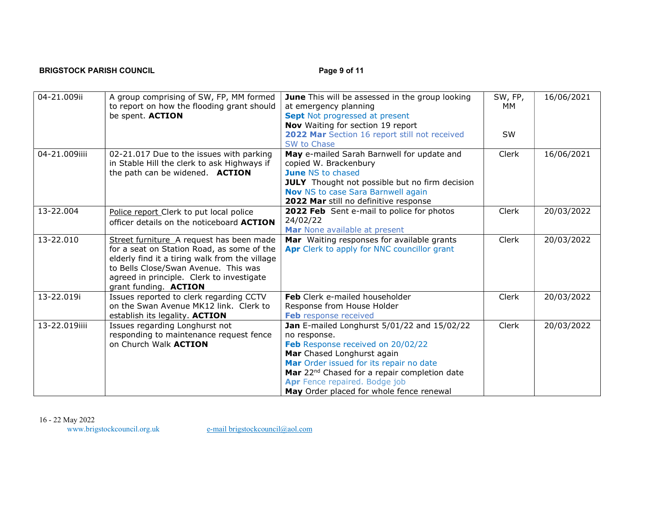# BRIGSTOCK PARISH COUNCIL **Example 2** of 11

| 04-21.009ii   | A group comprising of SW, FP, MM formed<br>to report on how the flooding grant should<br>be spent. ACTION                                                                                                                                              | June This will be assessed in the group looking<br>at emergency planning<br>Sept Not progressed at present<br>Nov Waiting for section 19 report<br>2022 Mar Section 16 report still not received<br>SW to Chase                                                                                                    | SW, FP,<br>MМ<br><b>SW</b> | 16/06/2021 |
|---------------|--------------------------------------------------------------------------------------------------------------------------------------------------------------------------------------------------------------------------------------------------------|--------------------------------------------------------------------------------------------------------------------------------------------------------------------------------------------------------------------------------------------------------------------------------------------------------------------|----------------------------|------------|
| 04-21.009iiii | 02-21.017 Due to the issues with parking<br>in Stable Hill the clerk to ask Highways if<br>the path can be widened. ACTION                                                                                                                             | May e-mailed Sarah Barnwell for update and<br>copied W. Brackenbury<br><b>June NS to chased</b><br><b>JULY</b> Thought not possible but no firm decision<br><b>Nov</b> NS to case Sara Barnwell again<br>2022 Mar still no definitive response                                                                     | Clerk                      | 16/06/2021 |
| 13-22.004     | Police report Clerk to put local police<br>officer details on the noticeboard ACTION                                                                                                                                                                   | 2022 Feb Sent e-mail to police for photos<br>24/02/22<br>Mar None available at present                                                                                                                                                                                                                             | Clerk                      | 20/03/2022 |
| 13-22.010     | Street furniture A request has been made<br>for a seat on Station Road, as some of the<br>elderly find it a tiring walk from the village<br>to Bells Close/Swan Avenue. This was<br>agreed in principle. Clerk to investigate<br>grant funding. ACTION | Mar Waiting responses for available grants<br>Apr Clerk to apply for NNC councillor grant                                                                                                                                                                                                                          | Clerk                      | 20/03/2022 |
| 13-22.019i    | Issues reported to clerk regarding CCTV<br>on the Swan Avenue MK12 link. Clerk to<br>establish its legality. ACTION                                                                                                                                    | Feb Clerk e-mailed householder<br>Response from House Holder<br>Feb response received                                                                                                                                                                                                                              | Clerk                      | 20/03/2022 |
| 13-22.019iiii | Issues regarding Longhurst not<br>responding to maintenance request fence<br>on Church Walk <b>ACTION</b>                                                                                                                                              | Jan E-mailed Longhurst 5/01/22 and 15/02/22<br>no response.<br>Feb Response received on 20/02/22<br>Mar Chased Longhurst again<br>Mar Order issued for its repair no date<br>Mar 22 <sup>nd</sup> Chased for a repair completion date<br>Apr Fence repaired. Bodge job<br>May Order placed for whole fence renewal | Clerk                      | 20/03/2022 |

16 - 22 May 2022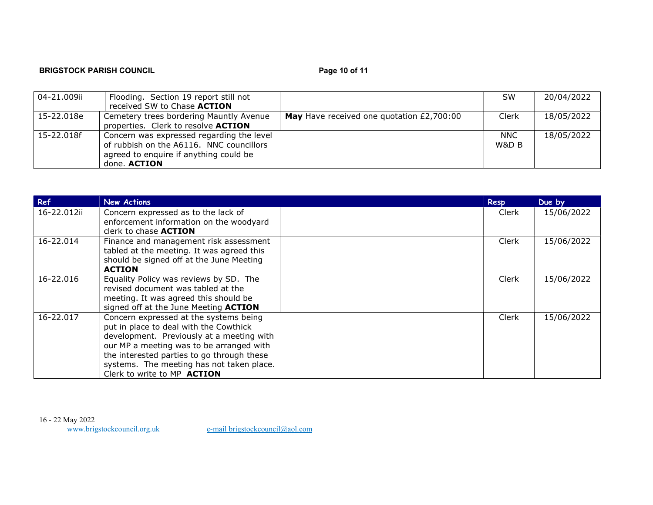# BRIGSTOCK PARISH COUNCIL **Example 20 and 20 and 20 and 20 and 20 and 20 and 20 and 20 and 20 and 20 and 20 and 20 and 20 and 20 and 20 and 20 and 20 and 20 and 20 and 20 and 20 and 20 and 20 and 20 and 20 and 20 and 20 and**

| 04-21.009ii  | Flooding. Section 19 report still not<br>received SW to Chase ACTION                                                                            |                                           | <b>SW</b>           | 20/04/2022 |
|--------------|-------------------------------------------------------------------------------------------------------------------------------------------------|-------------------------------------------|---------------------|------------|
| : 15-22.018e | Cemetery trees bordering Mauntly Avenue<br>properties. Clerk to resolve <b>ACTION</b>                                                           | May Have received one quotation £2,700:00 | Clerk               | 18/05/2022 |
| 15-22.018f   | Concern was expressed regarding the level<br>of rubbish on the A6116. NNC councillors<br>agreed to enquire if anything could be<br>done. ACTION |                                           | <b>NNC</b><br>W&D B | 18/05/2022 |

| Ref         | <b>New Actions</b>                         | Resp  | Due by     |
|-------------|--------------------------------------------|-------|------------|
| 16-22.012ii | Concern expressed as to the lack of        | Clerk | 15/06/2022 |
|             | enforcement information on the woodyard    |       |            |
|             | clerk to chase <b>ACTION</b>               |       |            |
| 16-22.014   | Finance and management risk assessment     | Clerk | 15/06/2022 |
|             | tabled at the meeting. It was agreed this  |       |            |
|             | should be signed off at the June Meeting   |       |            |
|             | <b>ACTION</b>                              |       |            |
| 16-22.016   | Equality Policy was reviews by SD. The     | Clerk | 15/06/2022 |
|             | revised document was tabled at the         |       |            |
|             | meeting. It was agreed this should be      |       |            |
|             | signed off at the June Meeting ACTION      |       |            |
| 16-22.017   | Concern expressed at the systems being     | Clerk | 15/06/2022 |
|             | put in place to deal with the Cowthick     |       |            |
|             | development. Previously at a meeting with  |       |            |
|             | our MP a meeting was to be arranged with   |       |            |
|             | the interested parties to go through these |       |            |
|             | systems. The meeting has not taken place.  |       |            |
|             | Clerk to write to MP ACTION                |       |            |

16 - 22 May 2022